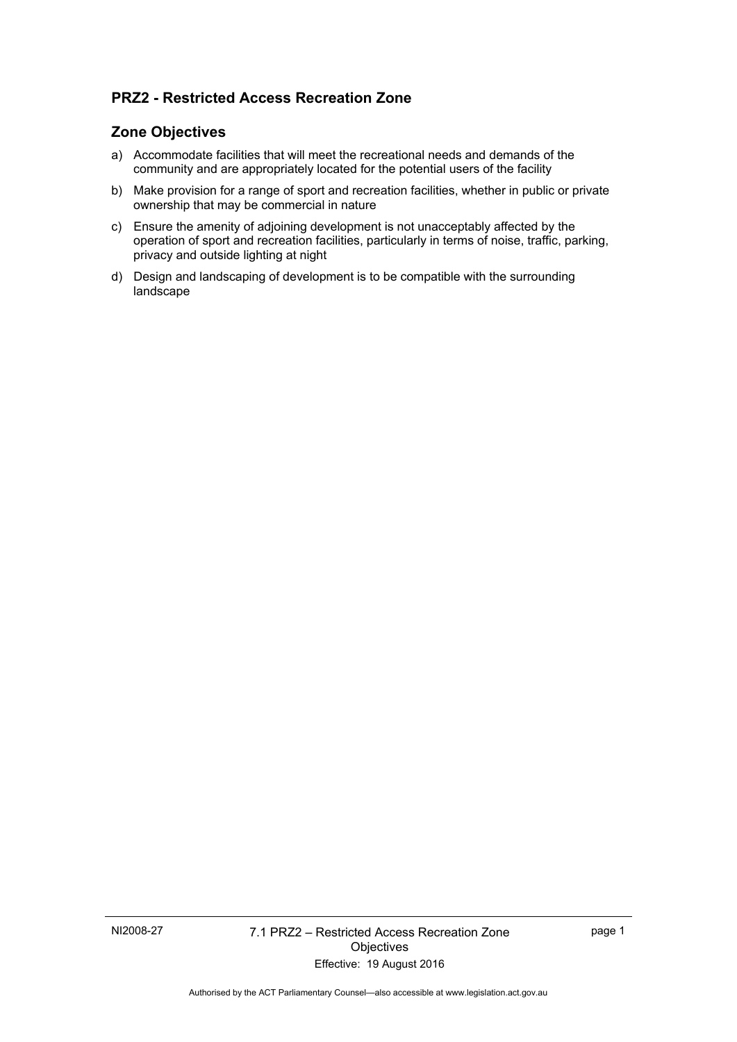# **PRZ2 - Restricted Access Recreation Zone**

## **Zone Objectives**

- a) Accommodate facilities that will meet the recreational needs and demands of the community and are appropriately located for the potential users of the facility
- b) Make provision for a range of sport and recreation facilities, whether in public or private ownership that may be commercial in nature
- c) Ensure the amenity of adjoining development is not unacceptably affected by the operation of sport and recreation facilities, particularly in terms of noise, traffic, parking, privacy and outside lighting at night
- d) Design and landscaping of development is to be compatible with the surrounding landscape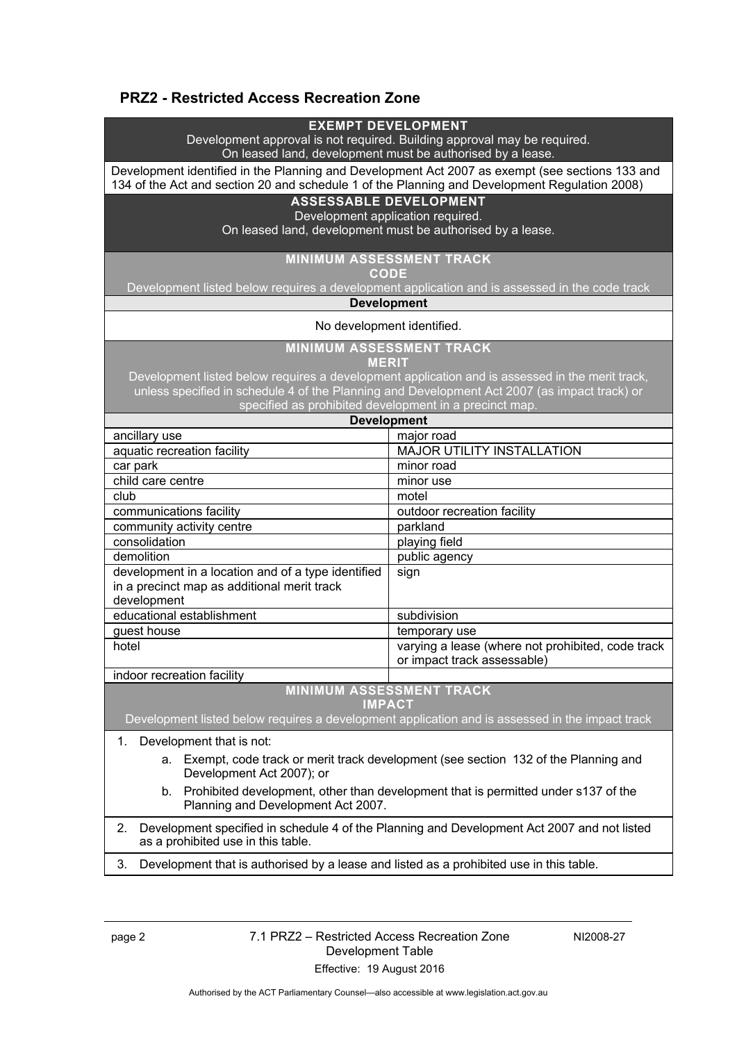# **PRZ2 - Restricted Access Recreation Zone**

#### **EXEMPT DEVELOPMENT**

Development approval is not required. Building approval may be required. On leased land, development must be authorised by a lease.

Development identified in the Planning and Development Act 2007 as exempt (see sections 133 and 134 of the Act and section 20 and schedule 1 of the Planning and Development Regulation 2008)

# **ASSESSABLE DEVELOPMENT**

Development application required.

On leased land, development must be authorised by a lease.

### **MINIMUM ASSESSMENT TRACK**

**CODE** 

Development listed below requires a development application and is assessed in the code track

#### **Development**

#### No development identified.

**MINIMUM ASSESSMENT TRACK** 

**MERIT** 

Development listed below requires a development application and is assessed in the merit track, unless specified in schedule 4 of the Planning and Development Act 2007 (as impact track) or specified as prohibited development in a precinct map.

| <b>Development</b>                                 |                                                                                  |
|----------------------------------------------------|----------------------------------------------------------------------------------|
| ancillary use                                      | major road                                                                       |
| aquatic recreation facility                        | MAJOR UTILITY INSTALLATION                                                       |
| car park                                           | minor road                                                                       |
| child care centre                                  | minor use                                                                        |
| club                                               | motel                                                                            |
| communications facility                            | outdoor recreation facility                                                      |
| community activity centre                          | parkland                                                                         |
| consolidation                                      | playing field                                                                    |
| demolition                                         | public agency                                                                    |
| development in a location and of a type identified | sign                                                                             |
| in a precinct map as additional merit track        |                                                                                  |
| development                                        |                                                                                  |
| educational establishment                          | subdivision                                                                      |
| guest house                                        | temporary use                                                                    |
| hotel                                              | varying a lease (where not prohibited, code track<br>or impact track assessable) |
| indoor recreation facility                         |                                                                                  |

**MINIMUM ASSESSMENT TRACK** 

**IMPACT** 

Development listed below requires a development application and is assessed in the impact track

1. Development that is not:

- a. Exempt, code track or merit track development (see section 132 of the Planning and Development Act 2007); or
- b. Prohibited development, other than development that is permitted under s137 of the Planning and Development Act 2007.

2. Development specified in schedule 4 of the Planning and Development Act 2007 and not listed as a prohibited use in this table.

3. Development that is authorised by a lease and listed as a prohibited use in this table.

### page 2 7.1 PRZ2 – Restricted Access Recreation Zone Development Table Effective: 19 August 2016

NI2008-27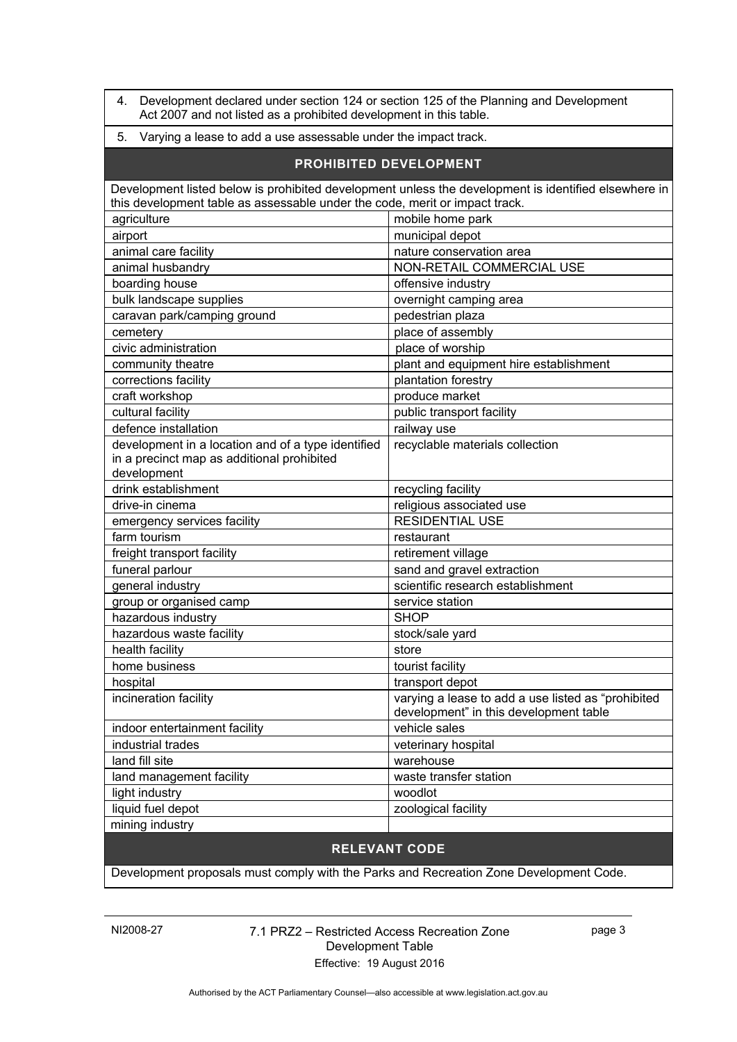4. Development declared under section 124 or section 125 of the Planning and Development Act 2007 and not listed as a prohibited development in this table.

### 5. Varying a lease to add a use assessable under the impact track.

| PROHIBITED DEVELOPMENT                                                                                                                                                              |                                                                                              |
|-------------------------------------------------------------------------------------------------------------------------------------------------------------------------------------|----------------------------------------------------------------------------------------------|
| Development listed below is prohibited development unless the development is identified elsewhere in<br>this development table as assessable under the code, merit or impact track. |                                                                                              |
| agriculture                                                                                                                                                                         | mobile home park                                                                             |
| airport                                                                                                                                                                             | municipal depot                                                                              |
| animal care facility                                                                                                                                                                | nature conservation area                                                                     |
| animal husbandry                                                                                                                                                                    | NON-RETAIL COMMERCIAL USE                                                                    |
| boarding house                                                                                                                                                                      | offensive industry                                                                           |
| bulk landscape supplies                                                                                                                                                             | overnight camping area                                                                       |
| caravan park/camping ground                                                                                                                                                         | pedestrian plaza                                                                             |
| cemetery                                                                                                                                                                            | place of assembly                                                                            |
| civic administration                                                                                                                                                                | place of worship                                                                             |
| community theatre                                                                                                                                                                   | plant and equipment hire establishment                                                       |
| corrections facility                                                                                                                                                                | plantation forestry                                                                          |
| craft workshop                                                                                                                                                                      | produce market                                                                               |
| cultural facility                                                                                                                                                                   | public transport facility                                                                    |
| defence installation                                                                                                                                                                | railway use                                                                                  |
| development in a location and of a type identified<br>in a precinct map as additional prohibited                                                                                    | recyclable materials collection                                                              |
| development                                                                                                                                                                         |                                                                                              |
| drink establishment                                                                                                                                                                 | recycling facility                                                                           |
| drive-in cinema                                                                                                                                                                     | religious associated use                                                                     |
| emergency services facility                                                                                                                                                         | <b>RESIDENTIAL USE</b>                                                                       |
| farm tourism                                                                                                                                                                        | restaurant                                                                                   |
| freight transport facility                                                                                                                                                          | retirement village                                                                           |
| funeral parlour                                                                                                                                                                     | sand and gravel extraction                                                                   |
| general industry                                                                                                                                                                    | scientific research establishment                                                            |
| group or organised camp                                                                                                                                                             | service station                                                                              |
| hazardous industry                                                                                                                                                                  | <b>SHOP</b>                                                                                  |
| hazardous waste facility                                                                                                                                                            | stock/sale yard                                                                              |
| health facility                                                                                                                                                                     | store                                                                                        |
| home business                                                                                                                                                                       | tourist facility                                                                             |
| hospital                                                                                                                                                                            | transport depot                                                                              |
| incineration facility                                                                                                                                                               | varying a lease to add a use listed as "prohibited<br>development" in this development table |
| indoor entertainment facility                                                                                                                                                       | vehicle sales                                                                                |
| industrial trades                                                                                                                                                                   | veterinary hospital                                                                          |
| land fill site                                                                                                                                                                      | warehouse                                                                                    |
| land management facility                                                                                                                                                            | waste transfer station                                                                       |
| light industry                                                                                                                                                                      | woodlot                                                                                      |
| liquid fuel depot                                                                                                                                                                   | zoological facility                                                                          |
| mining industry                                                                                                                                                                     |                                                                                              |

# **RELEVANT CODE**

Development proposals must comply with the Parks and Recreation Zone Development Code.

## NI2008-27 7.1 PRZ2 – Restricted Access Recreation Zone Development Table Effective: 19 August 2016

page 3